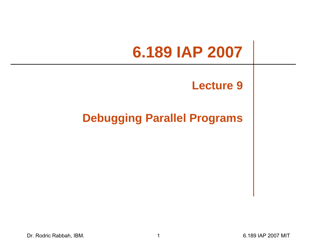# **6.189 IAP 2007**

#### **Lecture 9**

#### **Debugging Parallel Programs**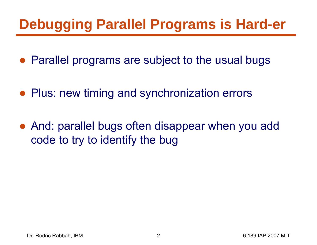## **Debugging Parallel Programs is Hard-er**

- Parallel programs are subject to the usual bugs
- Plus: new timing and synchronization errors
- And: parallel bugs often disappear when you add code to try to identify the bug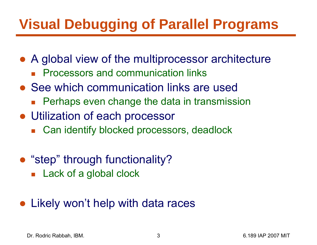# **Visual Debugging of Parallel Programs**

- A global view of the multiprocessor architecture
	- $\mathbb{R}^2$ Processors and communication links
- See which communication links are used
	- Perhaps even change the data in transmission
- Utilization of each processor
	- $\overline{\mathbb{R}}$ Can identify blocked processors, deadlock
- "step" through functionality?
	- **Lack of a global clock**
- Likely won't help with data races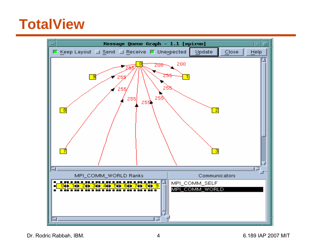#### **TotalView**



Dr. Rodric Rabbah, IBM. (a) 1898 1892 1898 1892 1898 1892 1898 1892 1898 1892 1898 1892 1898 1892 1898 1892 18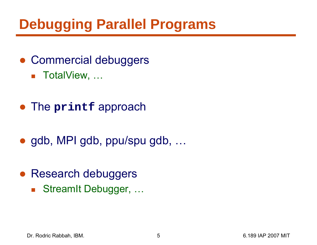# **Debugging Parallel Programs**

- Commercial debuggers
	- TotalView, …
- The **printf** approach
- gdb, MPI gdb, ppu/spu gdb, ...
- Research debuggers
	- StreamIt Debugger, ...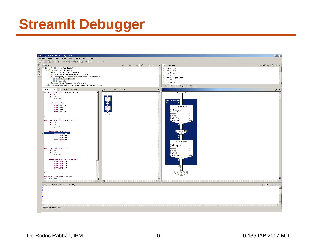#### **StreamIt Debugger**

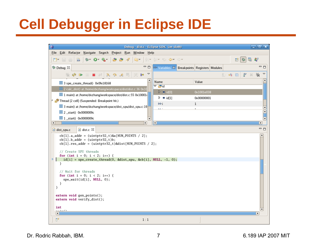# **Cell Debugger in Eclipse IDE**

| ℮                                                                                                         | Debug - dist.c - Eclipse SDK (on sloth)                                    |                          | $\Box$ x                                          |
|-----------------------------------------------------------------------------------------------------------|----------------------------------------------------------------------------|--------------------------|---------------------------------------------------|
| Eile Edit Refactor Navigate Search Project Run Window Help                                                |                                                                            |                          |                                                   |
| <b>ᅓ་ 0་ ལུ་ │ ૭: ૭: ∥ / འ་ │</b> ଥ៲་ ୡi་ ९: ♦་ ♦་<br>$\overline{\overline{610}}$<br>■<br>$H \oplus$      |                                                                            | ■   梦                    | 品 孝                                               |
| $=$ $\Box$<br>梦 Debug 83                                                                                  | (x)= Variables X Breakpoints Registers Modules                             |                          | $=$ $\Box$                                        |
| $\blacktriangledown$<br>$\mathbb{R}^2$ i $\blacktriangleright$<br>◈ ⊪ ⊪ ■ ☆<br><u>ော ဇာ ၉ = </u><br>dige  |                                                                            | క్షో<br>· 站 回<br>幻       | $\triangledown$                                   |
| $\equiv$ 3 spe_create_thread() 0x0fe18168                                                                 | Name                                                                       | Value                    |                                                   |
| ≡ 2 calc_dist() at /home/dxzhang/workspace/dist/dist.c:36 0x10                                            | $\triangledown$ $\triangledown$ id                                         |                          |                                                   |
| $\equiv$ 1 main() at /home/dxzhang/workspace/dist/dist.c:55 0x10001.                                      | $\triangleright \Rightarrow$ id[0]<br>$\triangleright$ $\rightarrow$ id[1] | 0x1001e038<br>0x00000001 |                                                   |
| 7 <sup>2</sup> Thread [2 cell] (Suspended: Breakpoint hit.)                                               | $(x)=i$                                                                    | $\mathbf{1}$             |                                                   |
| 3 main() at /home/dxzhang/workspace/dist_spu/dist_spu.c:19                                                | ka i                                                                       |                          |                                                   |
| $\equiv$ 2 _start() 0x0000009c                                                                            |                                                                            |                          | E                                                 |
| $\equiv$ 1 _start() 0x0000009c<br>$\blacktriangleright$<br>$\vert \cdot \vert$                            | $\overline{\mathbf{v}}$<br>$\lceil \bullet \rceil$                         |                          | $\overline{\phantom{a}}$<br>$\blacktriangleright$ |
|                                                                                                           |                                                                            |                          | $=$ $\Box$                                        |
| $\mathbf{\mathbf{c}}$ dist.c $\mathbf{\mathbf{\mathcal{Z}}}$<br>c dist_spu.c                              |                                                                            |                          |                                                   |
| $cb[1].a\_addr = (uintptr32_t)$ &a[NUM_POINTS / 2];<br>$cb[1].b\_addr = (uintptr32_t)b;$                  |                                                                            |                          |                                                   |
| $cb[1]$ .res_addr = (uintptr32_t)&dist[NUM_POINTS / 2];                                                   |                                                                            |                          |                                                   |
| // Create SPU threads                                                                                     |                                                                            |                          |                                                   |
| for (int i = 0; i < 2; i++) {<br>⇒.<br>$id[i] = spe\_create_thread(0, \&dist_spu, \&cb[i], NULL, -1, 0);$ |                                                                            |                          |                                                   |
| ł                                                                                                         |                                                                            |                          |                                                   |
| // Wait for threads                                                                                       |                                                                            |                          |                                                   |
| for (int i = 0; i < 2; i++) {                                                                             |                                                                            |                          |                                                   |
| $spe\_wait(id[i], NULL, 0);$<br>ł                                                                         |                                                                            |                          |                                                   |
| J.                                                                                                        |                                                                            |                          |                                                   |
| extern void gen_points();                                                                                 |                                                                            |                          |                                                   |
| extern void verify_dist();                                                                                |                                                                            |                          |                                                   |
| int                                                                                                       |                                                                            |                          |                                                   |
| $- - - - 73$<br>$\vert \cdot \vert$                                                                       |                                                                            |                          | $\blacktriangleright$                             |
| D°<br>1:1                                                                                                 |                                                                            |                          |                                                   |

Dr. Rodric Rabbah, IBM. 6.189 IAP 2007 MIT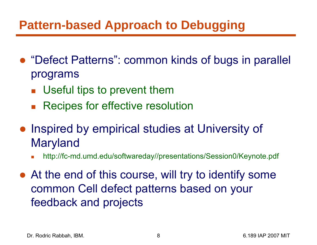#### **Pattern-based Approach to Debugging**

- "Defect Patterns": common kinds of bugs in parallel programs
	- **Useful tips to prevent them**
	- $\mathcal{L}^{\mathcal{A}}$ Recipes for effective resolution
- Inspired by empirical studies at University of Maryland
	- F http://fc-md.umd.edu/softwareday//presentations/Session0/Keynote.pdf
- At the end of this course, will try to identify some common Cell defect patterns based on your feedback and projects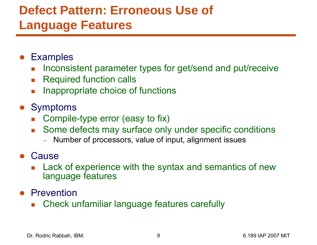#### **Defect Pattern: Erroneous Use of Language Features**

- ●**Examples** 
	- F Inconsistent parameter types for get/send and put/receive
	- $\mathcal{L}^{\mathcal{A}}$ Required function calls
	- F Inappropriate choice of functions
- Symptoms
	- Compile-type error (easy to fix)
	- $\overline{\mathcal{L}}$  Some defects may surface only under specific conditions
		- Number of processors, value of input, alignment issues
- Cause
	- F Lack of experience with the syntax and semantics of new language features
- **•** Prevention
	- $\mathcal{L}_{\mathcal{A}}$ Check unfamiliar language features carefully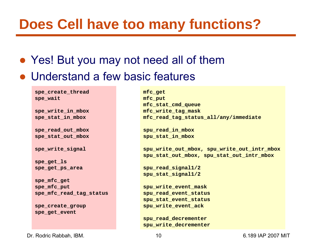#### **Does Cell have too many functions?**

- Yes! But you may not need all of them
- Understand a few basic features

**spe\_create\_thread spe\_wait**

**spe\_write\_in\_mbox spe\_stat\_in\_mbox**

**spe\_read\_out\_mbox spe\_stat\_out\_mbox**

**spe\_write\_signal**

**spe\_get\_ls spe\_get\_ps\_area**

**spe\_mfc\_get spe\_mfc\_put spe\_mfc\_read\_tag\_status**

**spe\_create\_group spe\_get\_event**

**mfc\_get mfc\_put mfc\_stat\_cmd\_queue mfc\_write\_tag\_mask mfc\_read\_tag\_status\_all/any/immediate**

**spu\_read\_in\_mbox spu\_stat\_in\_mbox**

**spu\_write\_out\_mbox, spu\_write\_out\_intr\_mbox spu\_stat\_out\_mbox, spu\_stat\_out\_intr\_mbox**

**spu\_read\_signal1/2 spu\_stat\_signal1/2**

**spu\_write\_event\_mask spu\_read\_event\_status spu\_stat\_event\_status spu\_write\_event\_ack**

**spu\_read\_decrementer spu\_write\_decrementer**

Dr. Rodric Rabbah, IBM. 10 6.189 IAP 2007 MIT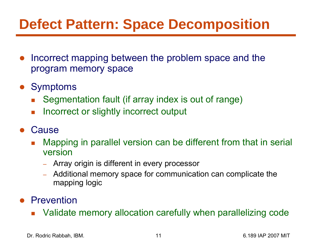## **Defect Pattern: Space Decomposition**

- ● Incorrect mapping between the problem space and the program memory space
- Symptoms
	- $\overline{\phantom{a}}$ Segmentation fault (if array index is out of range)
	- F. Incorrect or slightly incorrect output
- $\bullet$ **Cause** 
	- $\mathcal{L}_{\mathcal{A}}$  Mapping in parallel version can be different from that in serial version
		- Array origin is different in every processor
		- Additional memory space for communication can complicate the mapping logic
- Prevention
	- $\mathcal{L}^{\mathcal{L}}$ Validate memory allocation carefully when parallelizing code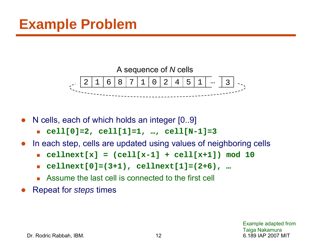

●N cells, each of which holds an integer [0..9]

- П **cell[0]=2, cell[1]=1, …, cell[N-1]=3**
- $\bullet$  In each step, cells are updated using values of neighboring cells
	- П **cellnext[x] = (cell[x-1] + cell[x+1]) mod 10**
	- $\mathcal{L}_{\mathrm{max}}$ **cellnext[0]=(3+1), cellnext[1]=(2+6), …**
	- П Assume the last cell is connected to the first cell
- ●Repeat for *steps* times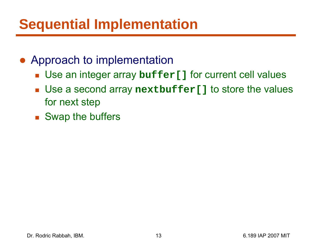## **Sequential Implementation**

#### • Approach to implementation

- Use an integer array **buffer[]** for current cell values
- Use a second array **nextbuffer[]** to store the values for next step
- Swap the buffers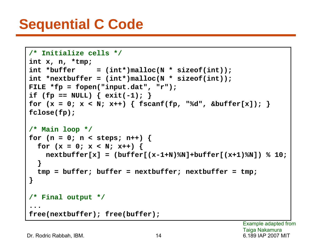#### **Sequential C Code**

```
/* Initialize cells */
int x, n, *tmp;
int *buffer = (int*)malloc(N * sizeof(int));
int *nextbuffer = (int*)malloc(N * sizeof(int));
FILE *fp = fopen("input.dat", "r");
if (fp == NULL) { ext{exit(-1)} }
for (x = 0; x < N; x++) { fscanf(fp, "%d", &buffer[x]); }
fclose(fp);
/* Main loop */
for (n = 0; n < steps; n++) {
  for (x = 0; x < N; x++) {
    nextbuffer[x] = (buffer[(x-1+N)%N]+buffer[(x+1)%N]) % 10;
  }
  tmp = buffer; buffer = nextbuffer; nextbuffer = tmp;
}
/* Final output */
...free(nextbuffer); free(buffer);
```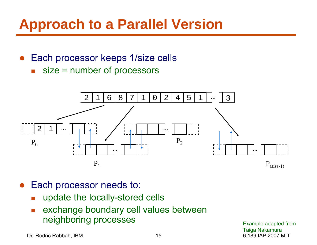#### **Approach to a Parallel Version**

- ● Each processor keeps 1/size cells
	- F size = number of processors



- ● Each processor needs to:
	- $\mathcal{C}^{\mathcal{A}}$ update the locally-stored cells
	- $\overline{\phantom{a}}$  exchange boundary cell values between neighboring processes

Dr. Rodric Rabbah, IBM. 15 6.189 IAP 2007 MIT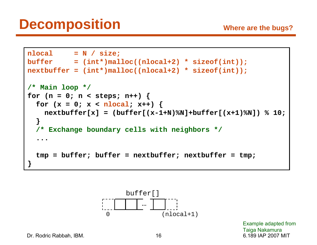```
nlocal = N / size;
buffer = (int*)malloc((nlocal+2) * sizeof(int));
nextbuffer = (int*)malloc((nlocal+2) * sizeof(int));
/* Main loop */
for (n = 0; n < steps; n++) {
  for (x = 0; x < nlocal; x++) {
    nextbuffer[x] = (buffer[(x-1+N)%N]+buffer[(x+1)%N]) % 10;
  }
  /* Exchange boundary cells with neighbors */
  ...tmp = buffer; buffer = nextbuffer; nextbuffer = tmp;
}
```


Dr. Rodric Rabbah, IBM. 16 6.189 IAP 2007 MIT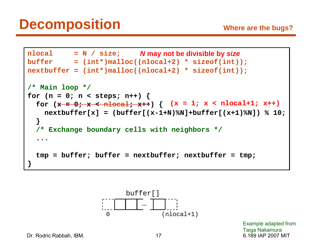```
nlocal = N / size;
N may not be divisible by size
buffer = (int*)malloc((nlocal+2) * sizeof(int));
nextbuffer = (int*)malloc((nlocal+2) * sizeof(int));
/* Main loop */
for (n = 0; n < steps; n++) {
  for (x = 0; x < nlocal; x++) {
(x = 1; x < nlocal+1; x++)
    nextbuffer[x] = (buffer[(x-1+N)%N]+buffer[(x+1)%N]) % 10;
  }
  /* Exchange boundary cells with neighbors */
  ...tmp = buffer; buffer = nextbuffer; nextbuffer = tmp;
}
```


Dr. Rodric Rabbah, IBM. 17 17 6.189 IAP 2007 MIT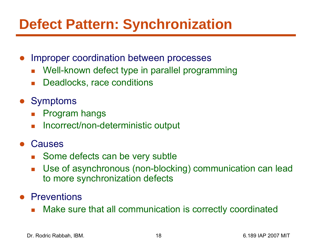## **Defect Pattern: Synchronization**

- ● Improper coordination between processes
	- F Well-known defect type in parallel programming
	- $\mathcal{L}_{\text{max}}$ Deadlocks, race conditions
- Symptoms
	- F Program hangs
	- $\mathcal{L}_{\mathcal{A}}$ Incorrect/non-deterministic output
- ● Causes
	- $\mathbb{Z}^{\mathbb{Z}^{\times}}$ Some defects can be very subtle
	- F Use of asynchronous (non-blocking) communication can lead to more synchronization defects
- **•** Preventions
	- Make sure that all communication is correctly coordinated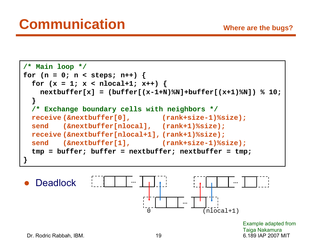



Dr. Rodric Rabbah, IBM. 19 6.189 IAP 2007 MIT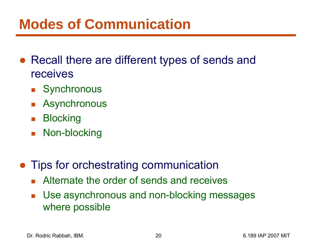#### **Modes of Communication**

- Recall there are different types of sends and receives
	- **Synchronous**
	- $\overline{\mathbb{R}}$ Asynchronous
	- $\mathcal{L}_{\mathcal{A}}$ **Blocking**
	- Non-blocking
- $\bullet$  Tips for orchestrating communication
	- **Alternate the order of sends and receives**
	- $\mathcal{L}_{\mathcal{A}}$  Use asynchronous and non-blocking messages where possible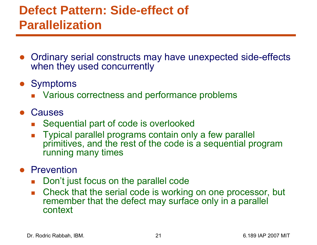#### **Defect Pattern: Side-effect of Parallelization**

- Ordinary serial constructs may have unexpected side-effects when they used concurrently
- Symptoms
	- **Number 1** Various correctness and performance problems
- Causes
	- F. Sequential part of code is overlooked
	- $\overline{\mathcal{A}}$  Typical parallel programs contain only a few parallel primitives, and the rest of the code is a sequential program running many times

#### **•** Prevention

- $\mathcal{L}_{\mathcal{A}}$ Don't just focus on the parallel code
- $\mathcal{L}_{\text{max}}$  Check that the serial code is working on one processor, but remember that the defect may surface only in a parallel context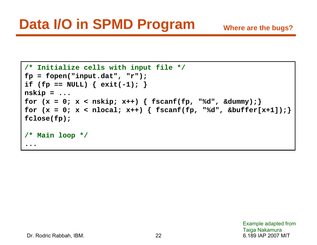```
/* Initialize cells with input file */
fp = fopen("input.dat", "r");
if (fp == NULL) { exit(-1); }
nskip = ...
for (x = 0; x < nskip; x++) { fscanf(fp, "%d", &dummy); }
for (x = 0; x < nlocal; x++) { fscanf(fp, "%d", &buffer[x+1]); }
fclose(fp);
/* Main loop */
...
```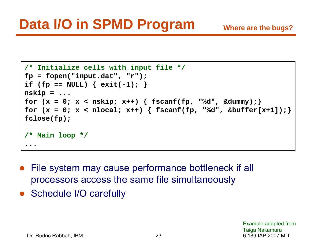```
/* Initialize cells with input file */
fp = fopen("input.dat", "r");
if (fp == NULL) { exit(-1); }
nskip = ...
for (x = 0; x < nskip; x++) { fscanf(fp, "%d", &dummy); }
for (x = 0; x < nlocal; x++) { fscanf(fp, "%d", &buffer[x+1]); }
fclose(fp);
/* Main loop */
...
```
- File system may cause performance bottleneck if all processors access the same file simultaneously
- Schedule I/O carefully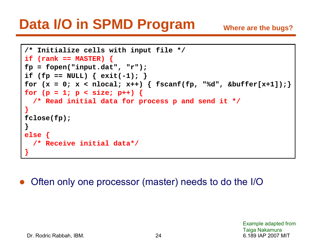## **Data I/O in SPMD Program**

```
/* Initialize cells with input file */
if (rank == MASTER) {
fp = fopen("input.dat", "r");
if (fp == NULL) { exit(-1); }
for (x = 0; x < nlocal; x++) { fscanf(fp, "%d", &buffer[x+1]); }
for (p = 1; p < size; p++) {
  /* Read initial data for process p and send it */
}
fclose(fp);
}
else {
  /* Receive initial data*/
}
```
●Often only one processor (master) needs to do the I/O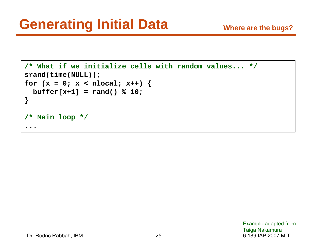```
/* What if we initialize cells with random values... */
srand(time(NULL));
for (x = 0; x < nlocal; x++) {
 buffer[x+1] = rand() % 10;
}
/* Main loop */
...
```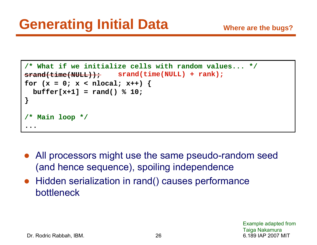```
/* What if we initialize cells with random values... */
srand(time(NULL));
for (x = 0; x < nlocal; x++) {
  buffer[x+1] = rand() % 10;
}
/* Main loop */
...srand(time(NULL) + rank);
```
- ● All processors might use the same pseudo-random seed (and hence sequence), spoiling independence
- $\bullet$  Hidden serialization in rand() causes performance bottleneck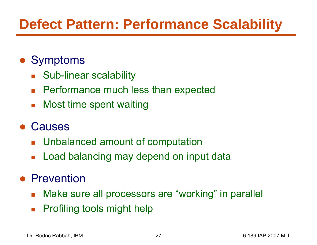# **Defect Pattern: Performance Scalability**

#### ● Symptoms

- $\mathcal{O}(\mathcal{O}_\mathcal{O})$ Sub-linear scalability
- $\mathcal{L}^{\text{max}}$ Performance much less than expected
- $\mathcal{O}^{\mathcal{O}}_{\mathcal{O}}$ Most time spent waiting

#### $\bullet$ Causes

- **Unbalanced amount of computation**
- $\mathbb{R}^n$ Load balancing may depend on input data

#### ● Prevention

- $\mathcal{L}^{\text{eff}}$ Make sure all processors are "working" in parallel
- $\mathcal{L}_{\mathcal{A}}$ Profiling tools might help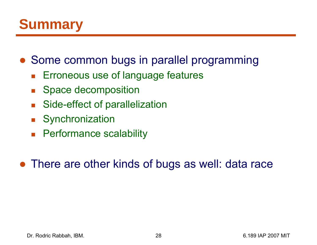#### **Summary**

- Some common bugs in parallel programming
	- $\overline{\mathbb{R}}$ Erroneous use of language features
	- $\mathcal{L}_{\mathcal{A}}$ Space decomposition
	- $\mathcal{O}^{\mathcal{A}}$ Side-effect of parallelization
	- **Synchronization**
	- **Performance scalability**

• There are other kinds of bugs as well: data race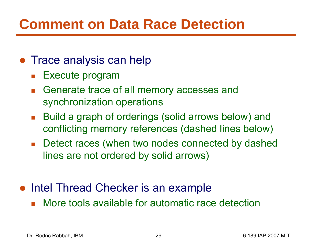## **Comment on Data Race Detection**

- Trace analysis can help
	- $\mathcal{L}^{\mathcal{L}}$ Execute program
	- **Generate trace of all memory accesses and** synchronization operations
	- $\mathcal{L}_{\text{max}}$  Build a graph of orderings (solid arrows below) and conflicting memory references (dashed lines below)
	- Detect races (when two nodes connected by dashed lines are not ordered by solid arrows)
- Intel Thread Checker is an example
	- **Nore tools available for automatic race detection**